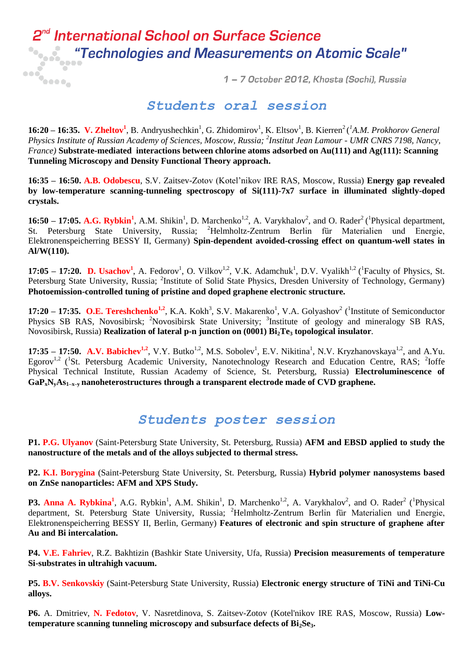## **de International School on Surface Science** 2<sup>ne</sup> International School on Surface Science<br>"Technologies and Measurements on Atomic Scale"<br>"

1 - 7 October 2012, Khosta (Sochi), Russia

## *Students oral session*

**16:20 – 16:35. V. Zheltov<sup>1</sup>, B. Andryushechkin<sup>1</sup>, G. Zhidomirov<sup>1</sup>, K. Eltsov<sup>1</sup>, B. Kierren<sup>2</sup> (<sup>1</sup>A.M. Prokhorov General** *Physics Institute of Russian Academy of Sciences, Moscow, Russia; 2 Institut Jean Lamour - UMR CNRS 7198, Nancy, France)* **Substrate-mediated interactions between chlorine atoms adsorbed on Au(111) and Ag(111): Scanning Tunneling Microscopy and Density Functional Theory approach.**

**16:35 – 16:50. A.B. Odobescu**, S.V. Zaitsev-Zotov (Kotel'nikov IRE RAS, Moscow, Russia) **Energy gap revealed by low-temperature scanning-tunneling spectroscopy of Si(111)-7x7 surface in illuminated slightly-doped crystals.**

**16:50 – 17:05. A.G. Rybkin<sup>1</sup>**, A.M. Shikin<sup>1</sup>, D. Marchenko<sup>1,2</sup>, A. Varykhalov<sup>2</sup>, and O. Rader<sup>2</sup> (<sup>1</sup>Physical department, St. Petersburg State University, Russia; <sup>2</sup>Helmholtz-Zentrum Berlin für Materialien und Energie, Elektronenspeicherring BESSY II, Germany) **Spin-dependent avoided-crossing effect on quantum-well states in Al/W(110).**

**17:05 – 17:20. D. Usachov<sup>1</sup>**, A. Fedorov<sup>1</sup>, O. Vilkov<sup>1,2</sup>, V.K. Adamchuk<sup>1</sup>, D.V. Vyalikh<sup>1,2</sup> (<sup>1</sup>Faculty of Physics, St. Petersburg State University, Russia; <sup>2</sup>Institute of Solid State Physics, Dresden University of Technology, Germany) **Photoemission-controlled tuning of pristine and doped graphene electronic structure.**

**17:20 – 17:35. O.E. Tereshchenko<sup>1,2</sup>**, K.A. Kokh<sup>3</sup>, S.V. Makarenko<sup>1</sup>, V.A. Golyashov<sup>2</sup> (<sup>1</sup>Institute of Semiconductor Physics SB RAS, Novosibirsk; <sup>2</sup>Novosibirsk State University; <sup>3</sup>Institute of geology and mineralogy SB RAS, Novosibirsk, Russia) **Realization of lateral p-n junction on (0001) Bi2Te<sup>3</sup> topological insulator**.

**17:35 – 17:50. A.V. Babichev<sup>1,2</sup>**, V.Y. Butko<sup>1,2</sup>, M.S. Sobolev<sup>1</sup>, E.V. Nikitina<sup>1</sup>, N.V. Kryzhanovskaya<sup>1,2</sup>, and A.Yu. Egorov<sup>1,2</sup> (<sup>1</sup>St. Petersburg Academic University, Nanotechnology Research and Education Centre, RAS; <sup>2</sup>Ioffe Physical Technical Institute, Russian Academy of Science, St. Petersburg, Russia) **Electroluminescence of GaPxNyAs1–x–y nanoheterostructures through a transparent electrode made of CVD graphene.**

## *Students poster session*

**P1. P.G. Ulyanov** (Saint-Petersburg State University, St. Petersburg, Russia) **AFM and EBSD applied to study the nanostructure of the metals and of the alloys subjected to thermal stress.** 

**P2. K.I. Borygina** (Saint-Petersburg State University, St. Petersburg, Russia) **Hybrid polymer nanosystems based on ZnSe nanoparticles: AFM and XPS Study.** 

**P3. Anna A. Rybkina<sup>1</sup>**, A.G. Rybkin<sup>1</sup>, A.M. Shikin<sup>1</sup>, D. Marchenko<sup>1,2</sup>, A. Varykhalov<sup>2</sup>, and O. Rader<sup>2</sup> (<sup>1</sup>Physical department, St. Petersburg State University, Russia; <sup>2</sup>Helmholtz-Zentrum Berlin für Materialien und Energie, Elektronenspeicherring BESSY II, Berlin, Germany) **Features of electronic and spin structure of graphene after Au and Bi intercalation.**

**P4. V.E. Fahriev**, R.Z. Bakhtizin (Bashkir State University, Ufa, Russia) **Precision measurements of temperature Si-substrates in ultrahigh vacuum.**

**P5. B.V. Senkovskiy** (Saint-Petersburg State University, Russia) **Electronic energy structure of TiNi and TiNi-Cu alloys.**

**P6.** A. Dmitriev, **N. Fedotov**, V. Nasretdinova, S. Zaitsev-Zotov (Kotel'nikov IRE RAS, Moscow, Russia) **Lowtemperature scanning tunneling microscopy and subsurface defects of Bi<sub>2</sub>Se<sub>3</sub>.**